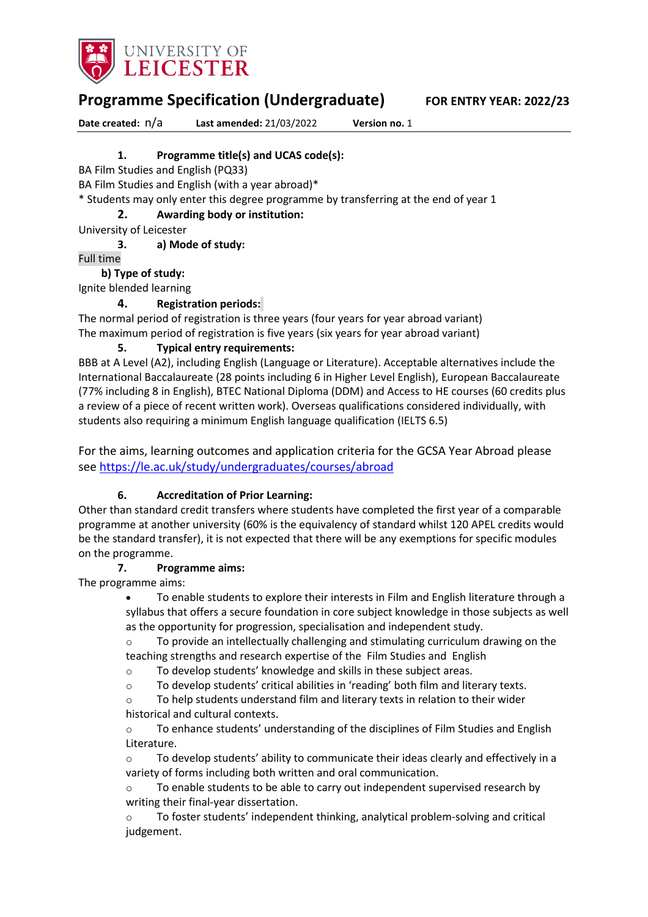

**Programme Specification (Undergraduate) FOR ENTRY YEAR: 2022/23**

**Date created:** n/a **Last amended:** 21/03/2022 **Version no.** 1

# **1. Programme title(s) and UCAS code(s):**

BA Film Studies and English (PQ33)

BA Film Studies and English (with a year abroad)\*

\* Students may only enter this degree programme by transferring at the end of year 1

## **2. Awarding body or institution:**

University of Leicester

**3. a) Mode of study:**

Full time

### **b) Type of study:**

Ignite blended learning

# **4. Registration periods:**

The normal period of registration is three years (four years for year abroad variant) The maximum period of registration is five years (six years for year abroad variant)

### **5. Typical entry requirements:**

BBB at A Level (A2), including English (Language or Literature). Acceptable alternatives include the International Baccalaureate (28 points including 6 in Higher Level English), European Baccalaureate (77% including 8 in English), BTEC National Diploma (DDM) and Access to HE courses (60 credits plus a review of a piece of recent written work). Overseas qualifications considered individually, with students also requiring a minimum English language qualification (IELTS 6.5)

For the aims, learning outcomes and application criteria for the GCSA Year Abroad please see <https://le.ac.uk/study/undergraduates/courses/abroad>

# **6. Accreditation of Prior Learning:**

Other than standard credit transfers where students have completed the first year of a comparable programme at another university (60% is the equivalency of standard whilst 120 APEL credits would be the standard transfer), it is not expected that there will be any exemptions for specific modules on the programme.

#### **7. Programme aims:**

The programme aims:

• To enable students to explore their interests in Film and English literature through a syllabus that offers a secure foundation in core subject knowledge in those subjects as well as the opportunity for progression, specialisation and independent study.

 $\circ$  To provide an intellectually challenging and stimulating curriculum drawing on the teaching strengths and research expertise of the Film Studies and English

o To develop students' knowledge and skills in these subject areas.

o To develop students' critical abilities in 'reading' both film and literary texts.

o To help students understand film and literary texts in relation to their wider historical and cultural contexts.

 $\circ$  To enhance students' understanding of the disciplines of Film Studies and English Literature.

 $\circ$  To develop students' ability to communicate their ideas clearly and effectively in a variety of forms including both written and oral communication.

 $\circ$  To enable students to be able to carry out independent supervised research by writing their final-year dissertation.

To foster students' independent thinking, analytical problem-solving and critical judgement.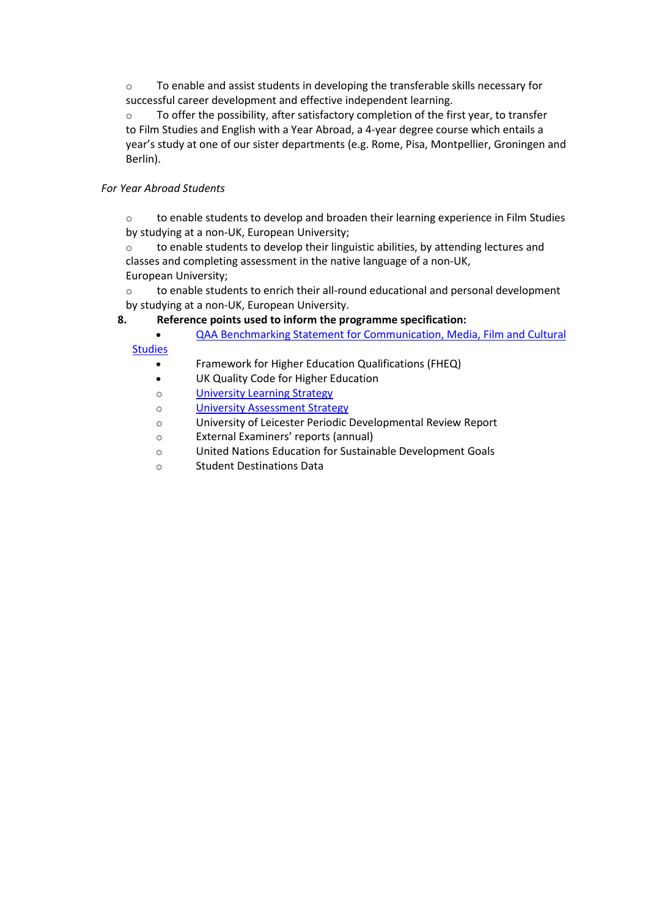o To enable and assist students in developing the transferable skills necessary for successful career development and effective independent learning.

 $\circ$  To offer the possibility, after satisfactory completion of the first year, to transfer to Film Studies and English with a Year Abroad, a 4-year degree course which entails a year's study at one of our sister departments (e.g. Rome, Pisa, Montpellier, Groningen and Berlin).

# *For Year Abroad Students*

o to enable students to develop and broaden their learning experience in Film Studies by studying at a non-UK, European University;

 $\circ$  to enable students to develop their linguistic abilities, by attending lectures and classes and completing assessment in the native language of a non-UK, European University;

o to enable students to enrich their all-round educational and personal development by studying at a non-UK, European University.

# **8. Reference points used to inform the programme specification:**

• QAA Benchmarking Statement [for Communication, Media, Film and Cultural](http://www.qaa.ac.uk/en/Publications/Documents/SBS-Communication-Media-Film-and-Cultural-Studies-16.pdf) 

**[Studies](http://www.qaa.ac.uk/en/Publications/Documents/SBS-Communication-Media-Film-and-Cultural-Studies-16.pdf)** 

- Framework for Higher Education Qualifications (FHEQ)
- UK Quality Code for Higher Education
- o University Learning [Strategy](https://www2.le.ac.uk/offices/sas2/quality/learnteach)
- o [University Assessment Strategy](https://www2.le.ac.uk/offices/sas2/quality/learnteach)
- o University of Leicester Periodic Developmental Review Report
- o External Examiners' reports (annual)
- o United Nations Education for Sustainable Development Goals
- o Student Destinations Data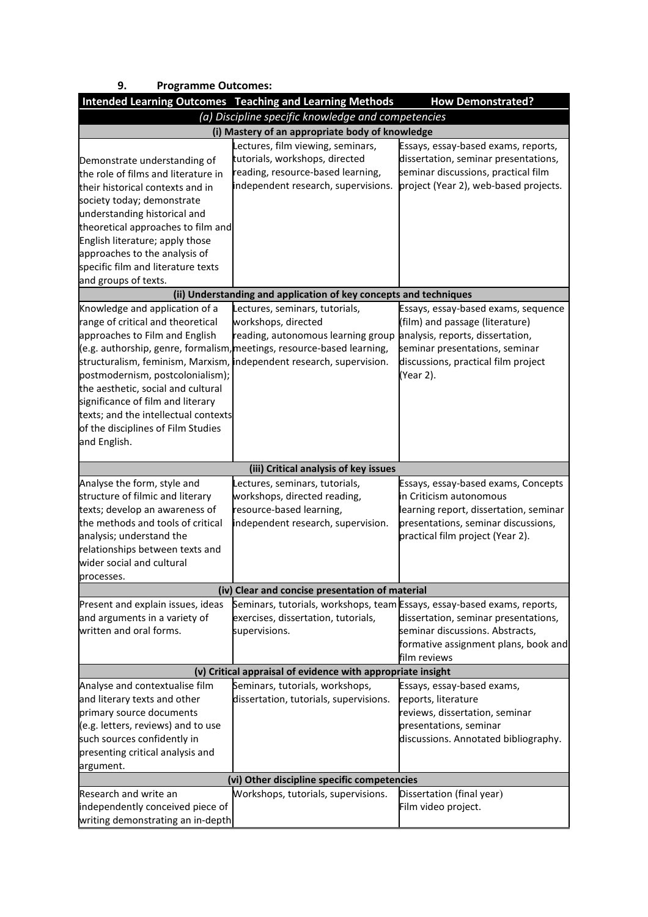| 9.<br><b>Programme Outcomes:</b>                                                                                                                                                                                                                                                                                                              |                                                                                                                                                                                                                                               |                                                                                                                                                                                                  |
|-----------------------------------------------------------------------------------------------------------------------------------------------------------------------------------------------------------------------------------------------------------------------------------------------------------------------------------------------|-----------------------------------------------------------------------------------------------------------------------------------------------------------------------------------------------------------------------------------------------|--------------------------------------------------------------------------------------------------------------------------------------------------------------------------------------------------|
|                                                                                                                                                                                                                                                                                                                                               | <b>Intended Learning Outcomes Teaching and Learning Methods</b>                                                                                                                                                                               | <b>How Demonstrated?</b>                                                                                                                                                                         |
|                                                                                                                                                                                                                                                                                                                                               | (a) Discipline specific knowledge and competencies                                                                                                                                                                                            |                                                                                                                                                                                                  |
|                                                                                                                                                                                                                                                                                                                                               | (i) Mastery of an appropriate body of knowledge                                                                                                                                                                                               |                                                                                                                                                                                                  |
| Demonstrate understanding of<br>the role of films and literature in<br>their historical contexts and in<br>society today; demonstrate<br>understanding historical and<br>theoretical approaches to film and<br>English literature; apply those<br>approaches to the analysis of<br>specific film and literature texts<br>and groups of texts. | Lectures, film viewing, seminars,<br>tutorials, workshops, directed<br>reading, resource-based learning,<br>independent research, supervisions.                                                                                               | Essays, essay-based exams, reports,<br>dissertation, seminar presentations,<br>seminar discussions, practical film<br>project (Year 2), web-based projects.                                      |
|                                                                                                                                                                                                                                                                                                                                               | (ii) Understanding and application of key concepts and techniques                                                                                                                                                                             |                                                                                                                                                                                                  |
| Knowledge and application of a<br>range of critical and theoretical<br>approaches to Film and English<br>postmodernism, postcolonialism);<br>the aesthetic, social and cultural<br>significance of film and literary<br>texts; and the intellectual contexts<br>of the disciplines of Film Studies<br>and English.                            | Lectures, seminars, tutorials,<br>workshops, directed<br>reading, autonomous learning group<br>(e.g. authorship, genre, formalism, meetings, resource-based learning,<br>structuralism, feminism, Marxism, independent research, supervision. | Essays, essay-based exams, sequence<br>(film) and passage (literature)<br>analysis, reports, dissertation,<br>seminar presentations, seminar<br>discussions, practical film project<br>(Year 2). |
|                                                                                                                                                                                                                                                                                                                                               | (iii) Critical analysis of key issues                                                                                                                                                                                                         |                                                                                                                                                                                                  |
| Analyse the form, style and<br>structure of filmic and literary<br>texts; develop an awareness of<br>the methods and tools of critical<br>analysis; understand the<br>relationships between texts and<br>wider social and cultural                                                                                                            | Lectures, seminars, tutorials,<br>workshops, directed reading,<br>resource-based learning,<br>independent research, supervision.                                                                                                              | Essays, essay-based exams, Concepts<br>in Criticism autonomous<br>learning report, dissertation, seminar<br>presentations, seminar discussions,<br>practical film project (Year 2).              |
| processes.                                                                                                                                                                                                                                                                                                                                    | (iv) Clear and concise presentation of material                                                                                                                                                                                               |                                                                                                                                                                                                  |
| Present and explain issues, ideas<br>and arguments in a variety of<br>written and oral forms.                                                                                                                                                                                                                                                 | Seminars, tutorials, workshops, team Essays, essay-based exams, reports,<br>exercises, dissertation, tutorials,<br>supervisions.                                                                                                              | dissertation, seminar presentations,<br>seminar discussions. Abstracts,<br>formative assignment plans, book and<br>film reviews                                                                  |
|                                                                                                                                                                                                                                                                                                                                               | (v) Critical appraisal of evidence with appropriate insight                                                                                                                                                                                   |                                                                                                                                                                                                  |
| Analyse and contextualise film<br>and literary texts and other<br>primary source documents<br>(e.g. letters, reviews) and to use<br>such sources confidently in<br>presenting critical analysis and<br>argument.                                                                                                                              | Seminars, tutorials, workshops,<br>dissertation, tutorials, supervisions.<br>(vi) Other discipline specific competencies                                                                                                                      | Essays, essay-based exams,<br>reports, literature<br>reviews, dissertation, seminar<br>presentations, seminar<br>discussions. Annotated bibliography.                                            |
| Research and write an                                                                                                                                                                                                                                                                                                                         | Workshops, tutorials, supervisions.                                                                                                                                                                                                           | Dissertation (final year)                                                                                                                                                                        |
| independently conceived piece of<br>writing demonstrating an in-depth                                                                                                                                                                                                                                                                         |                                                                                                                                                                                                                                               | Film video project.                                                                                                                                                                              |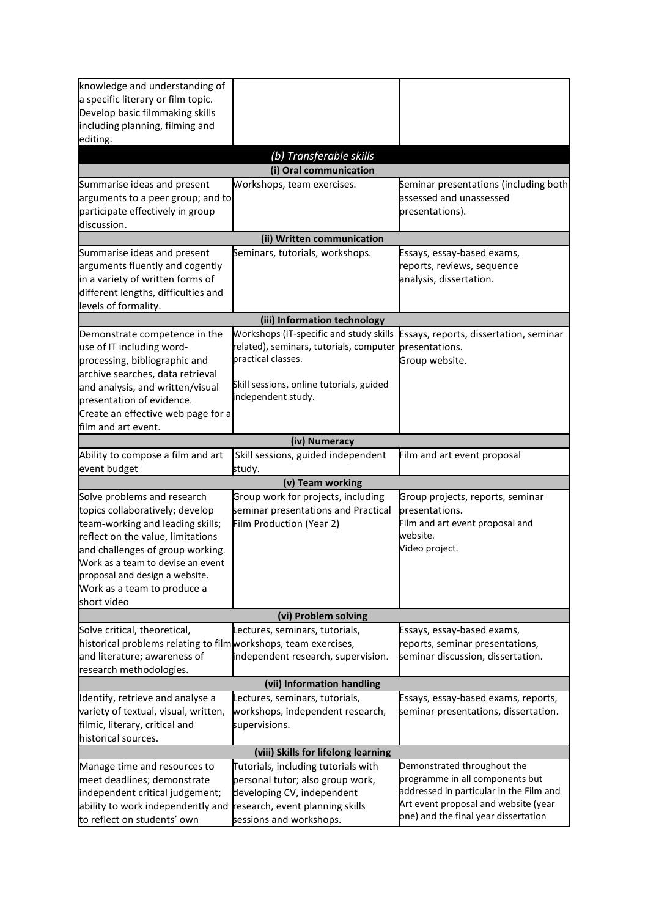| knowledge and understanding of                                 |                                          |                                         |  |
|----------------------------------------------------------------|------------------------------------------|-----------------------------------------|--|
| a specific literary or film topic.                             |                                          |                                         |  |
| Develop basic filmmaking skills                                |                                          |                                         |  |
| including planning, filming and                                |                                          |                                         |  |
| editing.                                                       |                                          |                                         |  |
|                                                                | (b) Transferable skills                  |                                         |  |
|                                                                | (i) Oral communication                   |                                         |  |
| Summarise ideas and present                                    | Workshops, team exercises.               | Seminar presentations (including both   |  |
|                                                                |                                          | assessed and unassessed                 |  |
| arguments to a peer group; and to                              |                                          |                                         |  |
| participate effectively in group                               |                                          | presentations).                         |  |
| discussion.                                                    |                                          |                                         |  |
|                                                                | (ii) Written communication               |                                         |  |
| Summarise ideas and present                                    | Seminars, tutorials, workshops.          | Essays, essay-based exams,              |  |
| arguments fluently and cogently                                |                                          | reports, reviews, sequence              |  |
| in a variety of written forms of                               |                                          | analysis, dissertation.                 |  |
| different lengths, difficulties and                            |                                          |                                         |  |
| levels of formality.                                           |                                          |                                         |  |
|                                                                | (iii) Information technology             |                                         |  |
| Demonstrate competence in the                                  | Workshops (IT-specific and study skills  | Essays, reports, dissertation, seminar  |  |
| use of IT including word-                                      | related), seminars, tutorials, computer  | presentations.                          |  |
| processing, bibliographic and                                  | practical classes.                       | Group website.                          |  |
| archive searches, data retrieval                               |                                          |                                         |  |
| and analysis, and written/visual                               | Skill sessions, online tutorials, guided |                                         |  |
| presentation of evidence.                                      | independent study.                       |                                         |  |
|                                                                |                                          |                                         |  |
| Create an effective web page for a                             |                                          |                                         |  |
| film and art event.                                            |                                          |                                         |  |
|                                                                | (iv) Numeracy                            |                                         |  |
| Ability to compose a film and art                              | Skill sessions, guided independent       | Film and art event proposal             |  |
| event budget                                                   | study.                                   |                                         |  |
|                                                                | (v) Team working                         |                                         |  |
| Solve problems and research                                    | Group work for projects, including       | Group projects, reports, seminar        |  |
| topics collaboratively; develop                                | seminar presentations and Practical      | presentations.                          |  |
| team-working and leading skills;                               | Film Production (Year 2)                 | Film and art event proposal and         |  |
| reflect on the value, limitations                              |                                          | website.                                |  |
| and challenges of group working.                               |                                          | Video project.                          |  |
| Work as a team to devise an event                              |                                          |                                         |  |
| proposal and design a website.                                 |                                          |                                         |  |
| Work as a team to produce a                                    |                                          |                                         |  |
| short video                                                    |                                          |                                         |  |
|                                                                | (vi) Problem solving                     |                                         |  |
| Solve critical, theoretical,                                   | Lectures, seminars, tutorials,           | Essays, essay-based exams,              |  |
| historical problems relating to filmworkshops, team exercises, |                                          | reports, seminar presentations,         |  |
| and literature; awareness of                                   | independent research, supervision.       | seminar discussion, dissertation.       |  |
| research methodologies.                                        |                                          |                                         |  |
| (vii) Information handling                                     |                                          |                                         |  |
| Identify, retrieve and analyse a                               | Lectures, seminars, tutorials,           | Essays, essay-based exams, reports,     |  |
| variety of textual, visual, written,                           | workshops, independent research,         | seminar presentations, dissertation.    |  |
| filmic, literary, critical and                                 | supervisions.                            |                                         |  |
| historical sources.                                            |                                          |                                         |  |
|                                                                | (viii) Skills for lifelong learning      |                                         |  |
| Manage time and resources to                                   | Tutorials, including tutorials with      | Demonstrated throughout the             |  |
| meet deadlines; demonstrate                                    | personal tutor; also group work,         | programme in all components but         |  |
| independent critical judgement;                                | developing CV, independent               | addressed in particular in the Film and |  |
| ability to work independently and                              | research, event planning skills          | Art event proposal and website (year    |  |
| to reflect on students' own                                    |                                          | one) and the final year dissertation    |  |
|                                                                | sessions and workshops.                  |                                         |  |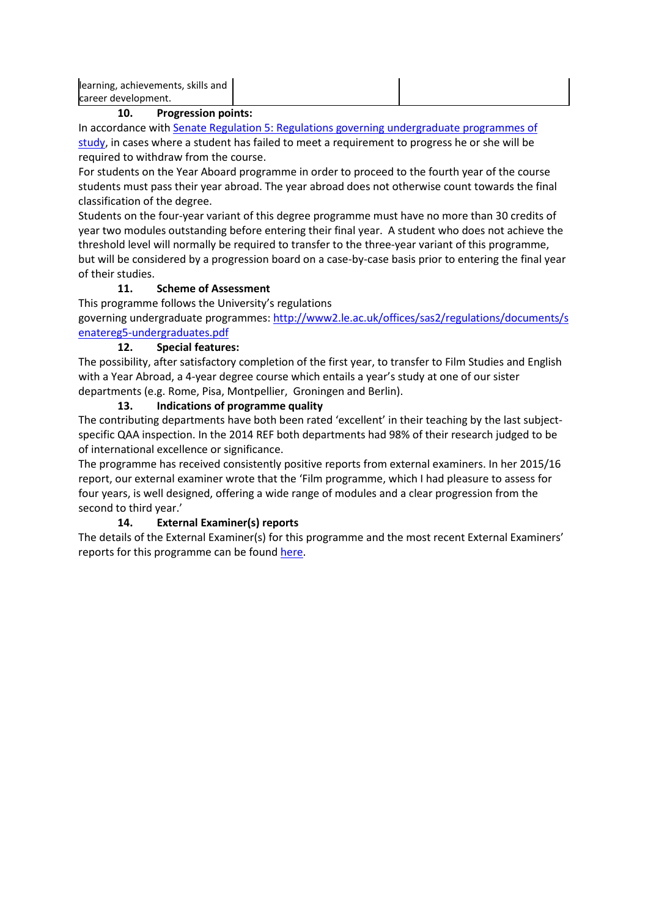| learning, achievements, skills and |  |
|------------------------------------|--|
| career development.                |  |
|                                    |  |

### **10. Progression points:**

In accordance with [Senate Regulation 5: Regulations governing undergraduate programmes of](https://www2.le.ac.uk/offices/sas2/regulations/documents/senatereg5-undergraduates)  [study,](https://www2.le.ac.uk/offices/sas2/regulations/documents/senatereg5-undergraduates) in cases where a student has failed to meet a requirement to progress he or she will be required to withdraw from the course.

For students on the Year Aboard programme in order to proceed to the fourth year of the course students must pass their year abroad. The year abroad does not otherwise count towards the final classification of the degree.

Students on the four-year variant of this degree programme must have no more than 30 credits of year two modules outstanding before entering their final year. A student who does not achieve the threshold level will normally be required to transfer to the three-year variant of this programme, but will be considered by a progression board on a case-by-case basis prior to entering the final year of their studies.

# **11. Scheme of Assessment**

This programme follows the University's regulations

governing undergraduate programmes: [http://www2.le.ac.uk/offices/sas2/regulations/documents/s](http://www2.le.ac.uk/offices/sas2/regulations/documents/senatereg5-undergraduates.pdf) [enatereg5-undergraduates.pdf](http://www2.le.ac.uk/offices/sas2/regulations/documents/senatereg5-undergraduates.pdf)

# **12. Special features:**

The possibility, after satisfactory completion of the first year, to transfer to Film Studies and English with a Year Abroad, a 4-year degree course which entails a year's study at one of our sister departments (e.g. Rome, Pisa, Montpellier, Groningen and Berlin).

# **13. Indications of programme quality**

The contributing departments have both been rated 'excellent' in their teaching by the last subjectspecific QAA inspection. In the 2014 REF both departments had 98% of their research judged to be of international excellence or significance.

The programme has received consistently positive reports from external examiners. In her 2015/16 report, our external examiner wrote that the 'Film programme, which I had pleasure to assess for four years, is well designed, offering a wide range of modules and a clear progression from the second to third year.'

# **14. External Examiner(s) reports**

The details of the External Examiner(s) for this programme and the most recent External Examiners' reports for this programme can be found [here.](https://exampapers.le.ac.uk/xmlui/)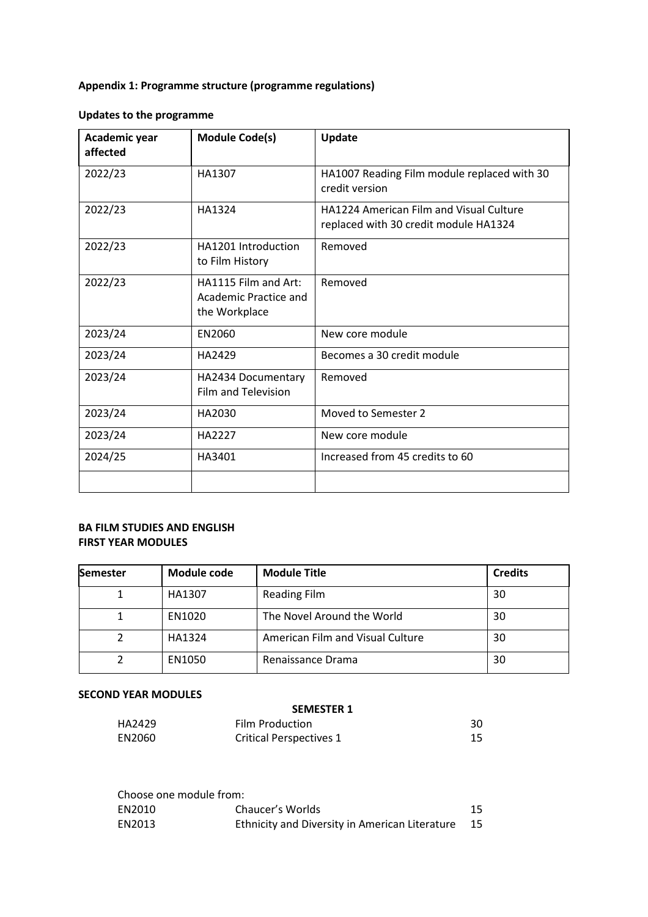# **Appendix 1: Programme structure (programme regulations)**

# **Updates to the programme**

| Academic year<br>affected | <b>Module Code(s)</b>                                          | Update                                                                                  |
|---------------------------|----------------------------------------------------------------|-----------------------------------------------------------------------------------------|
| 2022/23                   | HA1307                                                         | HA1007 Reading Film module replaced with 30<br>credit version                           |
| 2022/23                   | HA1324                                                         | <b>HA1224 American Film and Visual Culture</b><br>replaced with 30 credit module HA1324 |
| 2022/23                   | HA1201 Introduction<br>to Film History                         | Removed                                                                                 |
| 2022/23                   | HA1115 Film and Art:<br>Academic Practice and<br>the Workplace | Removed                                                                                 |
| 2023/24                   | EN2060                                                         | New core module                                                                         |
| 2023/24                   | HA2429                                                         | Becomes a 30 credit module                                                              |
| 2023/24                   | HA2434 Documentary<br><b>Film and Television</b>               | Removed                                                                                 |
| 2023/24                   | HA2030                                                         | Moved to Semester 2                                                                     |
| 2023/24                   | HA2227                                                         | New core module                                                                         |
| 2024/25                   | HA3401                                                         | Increased from 45 credits to 60                                                         |
|                           |                                                                |                                                                                         |

## **BA FILM STUDIES AND ENGLISH FIRST YEAR MODULES**

| <b>Semester</b> | Module code | <b>Module Title</b>              | <b>Credits</b> |
|-----------------|-------------|----------------------------------|----------------|
|                 | HA1307      | <b>Reading Film</b>              | 30             |
|                 | EN1020      | The Novel Around the World       | 30             |
|                 | HA1324      | American Film and Visual Culture | 30             |
|                 | EN1050      | Renaissance Drama                | 30             |

#### **SECOND YEAR MODULES**

|        | <b>SEMESTER 1</b>              |    |
|--------|--------------------------------|----|
| HA2429 | <b>Film Production</b>         | 30 |
| EN2060 | <b>Critical Perspectives 1</b> | 15 |

| Choose one module from: |                                                |    |
|-------------------------|------------------------------------------------|----|
| EN2010                  | Chaucer's Worlds                               | 15 |
| EN2013                  | Ethnicity and Diversity in American Literature | 15 |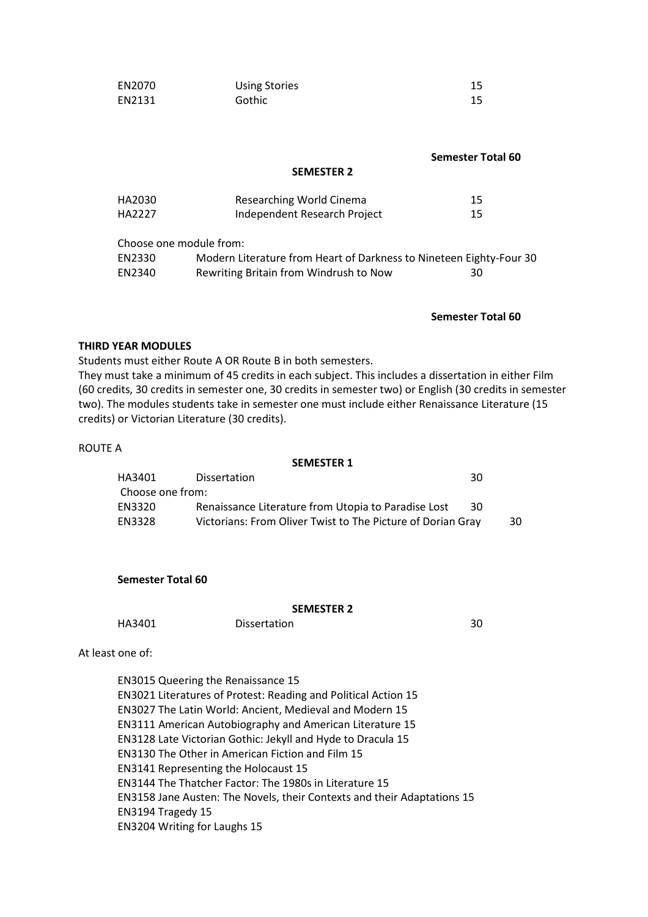| EN2070 | <b>Using Stories</b> |  |
|--------|----------------------|--|
| EN2131 | Gothic               |  |

|                                                |                                                                                                         | <b>Semester Total 60</b> |
|------------------------------------------------|---------------------------------------------------------------------------------------------------------|--------------------------|
|                                                | <b>SEMESTER 2</b>                                                                                       |                          |
| HA2030                                         | Researching World Cinema                                                                                | 15                       |
| HA2227                                         | Independent Research Project                                                                            | 15                       |
| Choose one module from:                        |                                                                                                         |                          |
| EN2330                                         | Modern Literature from Heart of Darkness to Nineteen Eighty-Four 30                                     |                          |
| EN2340                                         | Rewriting Britain from Windrush to Now                                                                  | 30                       |
|                                                |                                                                                                         |                          |
|                                                |                                                                                                         | <b>Semester Total 60</b> |
| <b>THIRD YEAR MODULES</b>                      |                                                                                                         |                          |
|                                                | Students must either Route A OR Route B in both semesters.                                              |                          |
|                                                | They must take a minimum of 45 credits in each subject. This includes a dissertation in either Film     |                          |
|                                                | (60 credits, 30 credits in semester one, 30 credits in semester two) or English (30 credits in semester |                          |
|                                                | two). The modules students take in semester one must include either Renaissance Literature (15          |                          |
| credits) or Victorian Literature (30 credits). |                                                                                                         |                          |

ROUTE A

#### **SEMESTER 1**

| HA3401           | <b>Dissertation</b>                                         | 30 |     |
|------------------|-------------------------------------------------------------|----|-----|
| Choose one from: |                                                             |    |     |
| EN3320           | Renaissance Literature from Utopia to Paradise Lost         | 30 |     |
| EN3328           | Victorians: From Oliver Twist to The Picture of Dorian Gray |    | 30. |

**Semester Total 60**

#### **SEMESTER 2**

HA3401 Dissertation 30

At least one of:

EN3015 Queering the Renaissance 15 EN3021 Literatures of Protest: Reading and Political Action 15 EN3027 The Latin World: Ancient, Medieval and Modern 15 EN3111 American Autobiography and American Literature 15 EN3128 Late Victorian Gothic: Jekyll and Hyde to Dracula 15 EN3130 The Other in American Fiction and Film 15 EN3141 Representing the Holocaust 15 EN3144 The Thatcher Factor: The 1980s in Literature 15 EN3158 Jane Austen: The Novels, their Contexts and their Adaptations 15 EN3194 Tragedy 15 EN3204 Writing for Laughs 15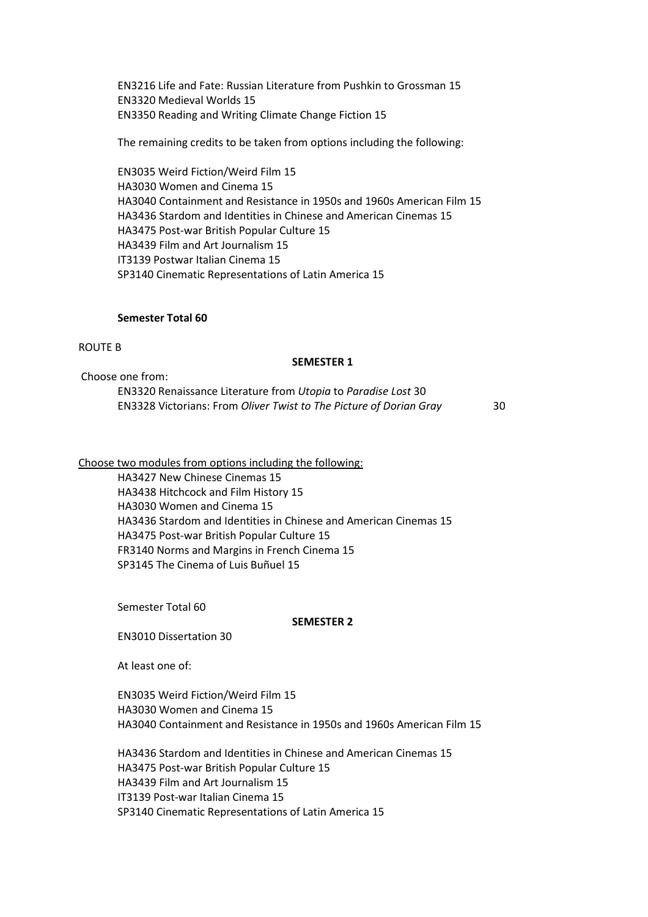EN3216 Life and Fate: Russian Literature from Pushkin to Grossman 15 EN3320 Medieval Worlds 15 EN3350 Reading and Writing Climate Change Fiction 15

The remaining credits to be taken from options including the following:

EN3035 Weird Fiction/Weird Film 15 HA3030 Women and Cinema 15 HA3040 Containment and Resistance in 1950s and 1960s American Film 15 HA3436 Stardom and Identities in Chinese and American Cinemas 15 HA3475 Post-war British Popular Culture 15 HA3439 Film and Art Journalism 15 IT3139 Postwar Italian Cinema 15 SP3140 Cinematic Representations of Latin America 15

#### **Semester Total 60**

#### ROUTE B

#### **SEMESTER 1**

Choose one from: EN3320 Renaissance Literature from *Utopia* to *Paradise Lost* 30 EN3328 Victorians: From *Oliver Twist to The Picture of Dorian Gray* 30

Choose two modules from options including the following:

HA3427 New Chinese Cinemas 15 HA3438 Hitchcock and Film History 15 HA3030 Women and Cinema 15 HA3436 Stardom and Identities in Chinese and American Cinemas 15 HA3475 Post-war British Popular Culture 15 FR3140 Norms and Margins in French Cinema 15 SP3145 The Cinema of Luis Buñuel 15

Semester Total 60

#### **SEMESTER 2**

EN3010 Dissertation 30

At least one of:

EN3035 Weird Fiction/Weird Film 15 HA3030 Women and Cinema 15 HA3040 Containment and Resistance in 1950s and 1960s American Film 15

HA3436 Stardom and Identities in Chinese and American Cinemas 15 HA3475 Post-war British Popular Culture 15 HA3439 Film and Art Journalism 15 IT3139 Post-war Italian Cinema 15 SP3140 Cinematic Representations of Latin America 15